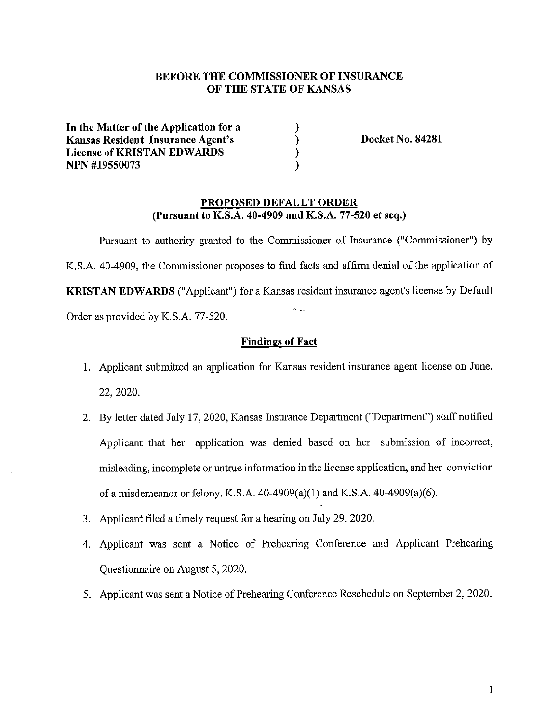# **BEFORE THE COMMISSIONER OF INSURANCE OF THE STATE OF KANSAS**

) ) ) )

**In the Matter of the Application for a Kansas Resident Insurance Agent's License of KRISTAN EDWARDS NPN #19550073** 

**Docket No. 84281** 

# **PROPOSED DEFAULT ORDER (Pursuant to K.S.A. 40-4909 and K.S.A. 77-520 et seq.)**

Pursuant to authority granted to the Commissioner of Insurance ("Commissioner") by K.S.A. 40-4909, the Commissioner proposes to find facts and affirm denial of the application of **KRISTAN EDWARDS** ("Applicant") for a Kansas resident insurance agent's license by Default Order as provided by K.S.A. 77-520.

# **Findings of Fact**

- 1. Applicant submitted an application for Kansas resident insurance agent license on June, 22, 2020.
- 2. By letter dated July 17, 2020, Kansas Insurance Department ("Department") staff notified Applicant that her application was denied based on her submission of incorrect, misleading, incomplete or untrue information in the license application, and her conviction of a misdemeanor or felony. K.S.A. 40-4909(a)(l) and K.S.A. 40-4909(a)(6).
- 3. Applicant filed a timely request for a hearing on July 29, 2020.
- 4. Applicant was sent a Notice of Prehearing Conference and Applicant Prehearing Questionnaire on August 5, 2020.
- 5. Applicant was sent a Notice of Prehearing Conference Reschedule on September 2, 2020.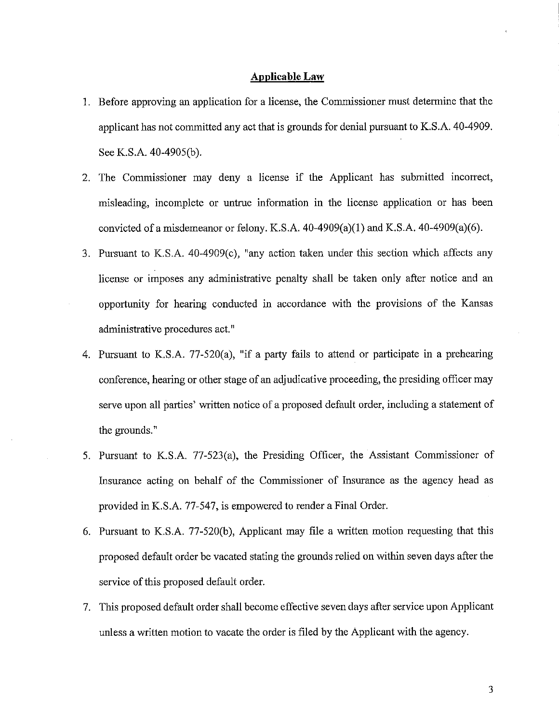#### **Applicable Law**

- 1. Before approving an application for a license, the Commissioner must determine that the applicant has not committed any act that is grounds for denial pursuant to K.S.A. 40-4909. See K.S.A. 40-4905(b).
- 2. The Commissioner may deny a license if the Applicant has submitted incorrect, misleading, incomplete or untrue information in the license application or has been convicted of a misdemeanor or felony. K.S.A.  $40-4909(a)(1)$  and K.S.A.  $40-4909(a)(6)$ .
- 3. Pursuant to K.S.A. 40-4909(c), "any action taken under this section which affects any license or imposes any administrative penalty shall be taken only after notice and an opportunity for hearing conducted in accordance with the provisions of the Kansas administrative procedures act."
- 4. Pursuant to K.S.A. 77-520(a), "if a party fails to attend or participate in a prehearing conference, hearing or other stage of an adjudicative proceeding, the presiding officer may serve upon all parties' written notice of a proposed default order, including a statement of the grounds."
- 5. Pursuant to K.S.A. 77-523(a), the Presiding Officer, the Assistant Commissioner of Insurance acting on behalf of the Commissioner of Insurance as the agency head as provided in K.S.A. 77-547, is empowered to render a Final Order.
- 6. Pursuant to K.S.A. 77-520(b), Applicant may file a written motion requesting that this proposed default order be vacated stating the grounds relied on within seven days after the service of this proposed default order.
- 7. This proposed default order shall become effective seven days after service upon Applicant unless a written motion to vacate the order is filed by the Applicant with the agency.

3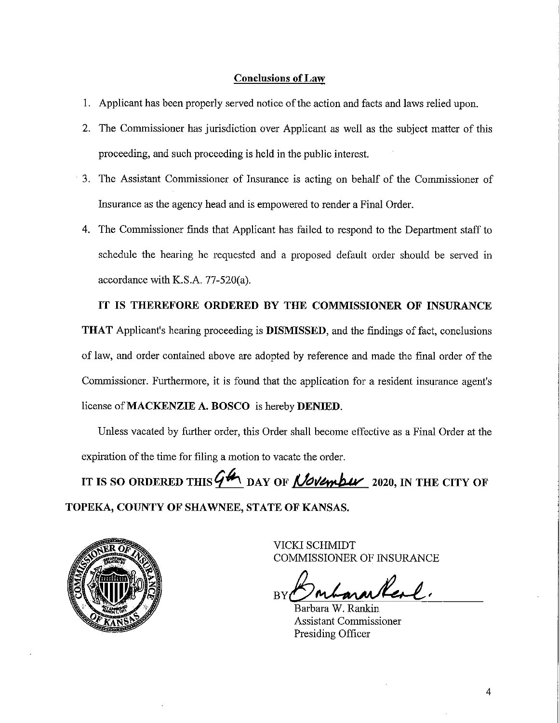# **Conclusions of Law**

- I. Applicant has been properly served notice of the action and facts and laws relied upon.
- 2. The Commissioner has jurisdiction over Applicant as well as the subject matter of this proceeding, and such proceeding is held in the public interest.
- 3. The Assistant Commissioner of Insurance is acting on behalf of the Commissioner of Insurance as the agency head and is empowered to render a Final Order.
- 4. The Commissioner finds that Applicant has failed to respond to the Department staff to schedule the hearing he requested and a proposed default order should be served in accordance with K.S.A. 77-520(a).

# **IT IS THEREFORE ORDERED BY THE COMMISSIONER OF INSURANCE**

**THAT** Applicant's hearing proceeding is **DISMISSED,** and the findings of fact, conclusions of law, and order contained above are adopted by reference and made the final order of the Commissioner. Furthermore, it is found that the application for a resident insurance agent's license of **MACKENZIE A. BOSCO** is hereby **DENIED.** 

Unless vacated by further order, this Order shall become effective as a Final Order at the expiration of the time for filing a motion to vacate the order.

IT IS SO ORDERED THIS  $\overline{G^{4n}}$  day of  $\overline{\text{Mow}^{\text{b}}\text{u}}$  2020, in the city of **TOPEKA, COUNTY OF SHAWNEE, STATE OF KANSAS.** 



VICKI SCHMIDT COMMISSIONER OF INSURANCE

 $\mathcal{R}_{\epsilon-1}$ 

Rankin Assistant Commissioner Presiding Officer

4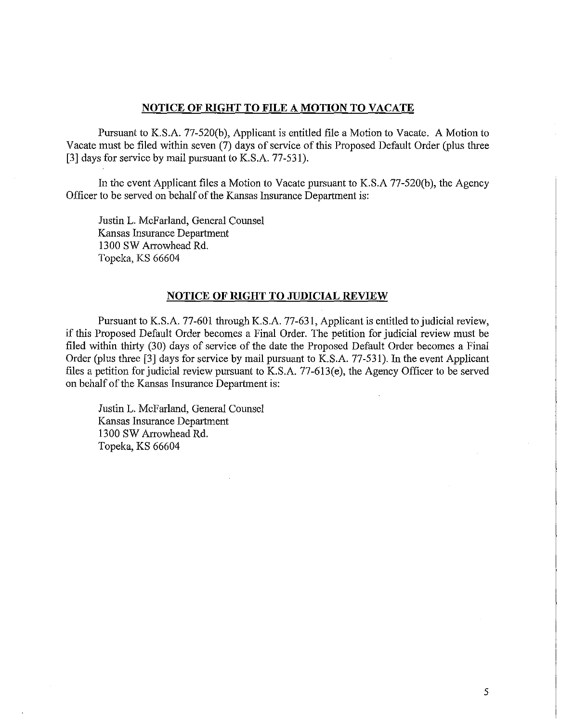### **NOTICE OF RIGHT TO FILE A MOTION TO VACATE**

Pursuant to K.S.A. 77-520(b), Applicant is entitled file a Motion to Vacate. A Motion to Vacate must be filed within seven (7) days of service of this Proposed Default Order (plus three [3] days for service by mail pursuant to K.S.A. 77-531).

In the event Applicant files a Motion to Vacate pursuant to K.S.A 77-520(b), the Agency Officer to be served on behalf of the Kansas Insurance Department is:

Justin L. McFarland, General Counsel Kansas Insurance Department 1300 SW Arrowhead Rd. Topeka, KS 66604

#### **NOTICE OF RIGHT TO JUDICIAL REVIEW**

Pursuant to K.S.A. 77-601 through K.S .A. 77-631, Applicant is entitled to judicial review, if this Proposed Default Order becomes a Final Order. The petition for judicial review must be filed within thirty (30) days of service of the date the Proposed Default Order becomes a Final Order (plus three [3] days for service by mail pursuant to K.S.A. 77-531). In the event Applicant files a petition for judicial review pursuant to K.S.A. 77-613(e), the Agency Officer to be served on behalf of the Kansas Insurance Department is:

Justin L. McFarland, General Counsel Kansas Insurance Department 1300 SW Arrowhead Rd. Topeka, KS 66604